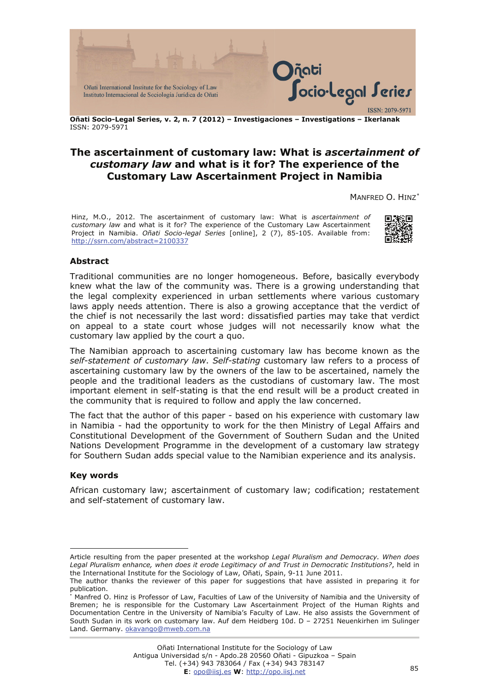

**Oñati Socio-Legal Series, v. 2, n. 7 (2012) – Investigaciones – Investigations – Ikerlanak**  ISSN: 2079-5971

# **The ascertainment of customary law: What is** *ascertainment of customary law* **and what is it for? The experience of the Customary Law Ascertainment Project in Namibia**

MANFRED O. HINZ[∗](#page-0-0)

Hinz, M.O., 2012. The ascertainment of customary law: What is *ascertainment of customary law* and what is it for? The experience of the Customary Law Ascertainment Project in Namibia. *Oñati Socio-legal Series* [online], 2 (7), 85-105. Available from: <http://ssrn.com/abstract=2100337>



## **Abstract**

Traditional communities are no longer homogeneous. Before, basically everybody knew what the law of the community was. There is a growing understanding that the legal complexity experienced in urban settlements where various customary laws apply needs attention. There is also a growing acceptance that the verdict of the chief is not necessarily the last word: dissatisfied parties may take that verdict on appeal to a state court whose judges will not necessarily know what the customary law applied by the court a quo.

The Namibian approach to ascertaining customary law has become known as the *self-statement of customary law*. *Self-stating* customary law refers to a process of ascertaining customary law by the owners of the law to be ascertained, namely the people and the traditional leaders as the custodians of customary law. The most important element in self-stating is that the end result will be a product created in the community that is required to follow and apply the law concerned.

The fact that the author of this paper - based on his experience with customary law in Namibia - had the opportunity to work for the then Ministry of Legal Affairs and Constitutional Development of the Government of Southern Sudan and the United Nations Development Programme in the development of a customary law strategy for Southern Sudan adds special value to the Namibian experience and its analysis.

#### **Key words**

 $\overline{a}$ 

African customary law; ascertainment of customary law; codification; restatement and self-statement of customary law.

<span id="page-0-0"></span>Article resulting from the paper presented at the workshop *Legal Pluralism and Democracy. When does Legal Pluralism enhance, when does it erode Legitimacy of and Trust in Democratic Institutions?*, held in the International Institute for the Sociology of Law, Oñati, Spain, 9-11 June 2011.

The author thanks the reviewer of this paper for suggestions that have assisted in preparing it for publication.

<sup>∗</sup> Manfred O. Hinz is Professor of Law, Faculties of Law of the University of Namibia and the University of Bremen; he is responsible for the Customary Law Ascertainment Project of the Human Rights and Documentation Centre in the University of Namibia's Faculty of Law. He also assists the Government of South Sudan in its work on customary law. Auf dem Heidberg 10d. D – 27251 Neuenkirhen im Sulinger Land. Germany. [okavango@mweb.com.na](mailto:okavango@mweb.com.na)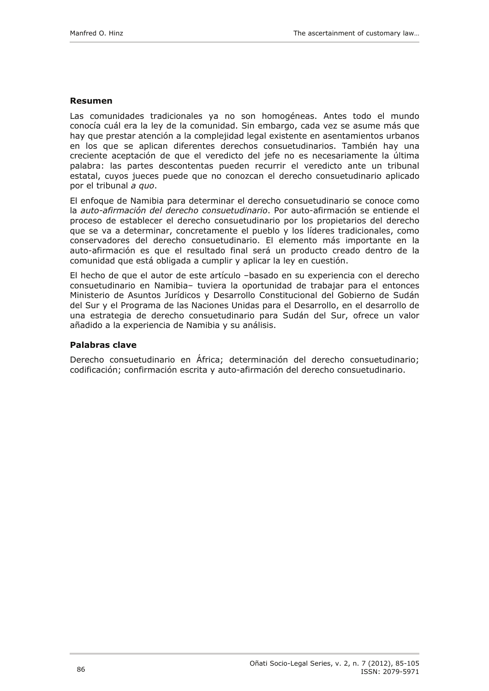#### **Resumen**

Las comunidades tradicionales ya no son homogéneas. Antes todo el mundo conocía cuál era la ley de la comunidad. Sin embargo, cada vez se asume más que hay que prestar atención a la complejidad legal existente en asentamientos urbanos en los que se aplican diferentes derechos consuetudinarios. También hay una creciente aceptación de que el veredicto del jefe no es necesariamente la última palabra: las partes descontentas pueden recurrir el veredicto ante un tribunal estatal, cuyos jueces puede que no conozcan el derecho consuetudinario aplicado por el tribunal *a quo*.

El enfoque de Namibia para determinar el derecho consuetudinario se conoce como la *auto-afirmación del derecho consuetudinario*. Por auto-afirmación se entiende el proceso de establecer el derecho consuetudinario por los propietarios del derecho que se va a determinar, concretamente el pueblo y los líderes tradicionales, como conservadores del derecho consuetudinario. El elemento más importante en la auto-afirmación es que el resultado final será un producto creado dentro de la comunidad que está obligada a cumplir y aplicar la ley en cuestión.

El hecho de que el autor de este artículo –basado en su experiencia con el derecho consuetudinario en Namibia– tuviera la oportunidad de trabajar para el entonces Ministerio de Asuntos Jurídicos y Desarrollo Constitucional del Gobierno de Sudán del Sur y el Programa de las Naciones Unidas para el Desarrollo, en el desarrollo de una estrategia de derecho consuetudinario para Sudán del Sur, ofrece un valor añadido a la experiencia de Namibia y su análisis.

#### **Palabras clave**

Derecho consuetudinario en África; determinación del derecho consuetudinario; codificación; confirmación escrita y auto-afirmación del derecho consuetudinario.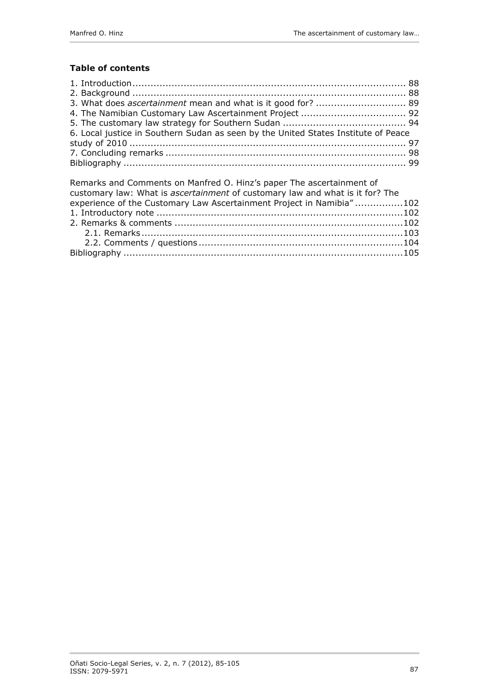## **Table of contents**

| 6. Local justice in Southern Sudan as seen by the United States Institute of Peace |  |
|------------------------------------------------------------------------------------|--|
|                                                                                    |  |
|                                                                                    |  |
|                                                                                    |  |
|                                                                                    |  |

| Remarks and Comments on Manfred O. Hinz's paper The ascertainment of          |  |
|-------------------------------------------------------------------------------|--|
| customary law: What is ascertainment of customary law and what is it for? The |  |
| experience of the Customary Law Ascertainment Project in Namibia"102          |  |
|                                                                               |  |
|                                                                               |  |
|                                                                               |  |
|                                                                               |  |
|                                                                               |  |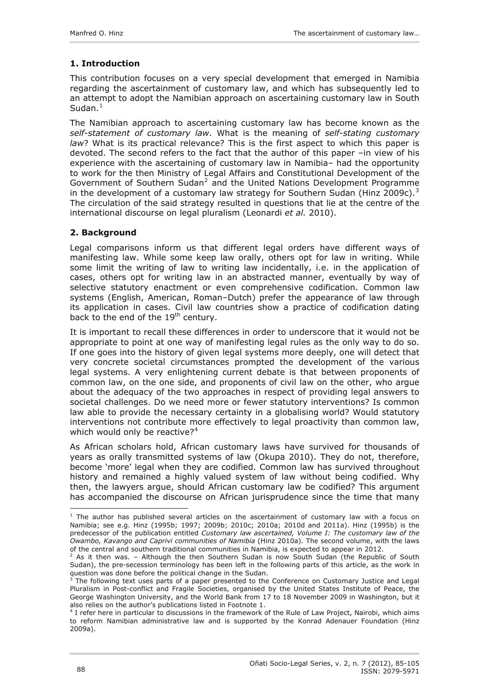# <span id="page-3-0"></span>**1. Introduction**

This contribution focuses on a very special development that emerged in Namibia regarding the ascertainment of customary law, and which has subsequently led to an attempt to adopt the Namibian approach on ascertaining customary law in South Sudan. $<sup>1</sup>$  $<sup>1</sup>$  $<sup>1</sup>$ </sup>

The Namibian approach to ascertaining customary law has become known as the *self-statement of customary law*. What is the meaning of *self-stating customary law*? What is its practical relevance? This is the first aspect to which this paper is devoted. The second refers to the fact that the author of this paper –in view of his experience with the ascertaining of customary law in Namibia– had the opportunity to work for the then Ministry of Legal Affairs and Constitutional Development of the Government of Southern Sudan<sup>[2](#page-3-2)</sup> and the United Nations Development Programme in the development of a customary law strategy for Southern Sudan (Hinz 2009c).<sup>[3](#page-3-3)</sup> The circulation of the said strategy resulted in questions that lie at the centre of the international discourse on legal pluralism (Leonardi *et al.* 2010).

## **2. Background**

Legal comparisons inform us that different legal orders have different ways of manifesting law. While some keep law orally, others opt for law in writing. While some limit the writing of law to writing law incidentally, i.e. in the application of cases, others opt for writing law in an abstracted manner, eventually by way of selective statutory enactment or even comprehensive codification. Common law systems (English, American, Roman–Dutch) prefer the appearance of law through its application in cases. Civil law countries show a practice of codification dating back to the end of the 19<sup>th</sup> century.

It is important to recall these differences in order to underscore that it would not be appropriate to point at one way of manifesting legal rules as the only way to do so. If one goes into the history of given legal systems more deeply, one will detect that very concrete societal circumstances prompted the development of the various legal systems. A very enlightening current debate is that between proponents of common law, on the one side, and proponents of civil law on the other, who argue about the adequacy of the two approaches in respect of providing legal answers to societal challenges. Do we need more or fewer statutory interventions? Is common law able to provide the necessary certainty in a globalising world? Would statutory interventions not contribute more effectively to legal proactivity than common law, which would only be reactive? $4^4$  $4^4$ 

As African scholars hold, African customary laws have survived for thousands of years as orally transmitted systems of law (Okupa 2010). They do not, therefore, become 'more' legal when they are codified. Common law has survived throughout history and remained a highly valued system of law without being codified. Why then, the lawyers argue, should African customary law be codified? This argument has accompanied the discourse on African jurisprudence since the time that many

<span id="page-3-1"></span> $<sup>1</sup>$  The author has published several articles on the ascertainment of customary law with a focus on</sup> Namibia; see e.g. Hinz (1995b; 1997; 2009b; 2010c; 2010a; 2010d and 2011a). Hinz (1995b) is the predecessor of the publication entitled *Customary law ascertained, Volume I: The customary law of the Owambo, Kavango and Caprivi communities of Namibia* (Hinz 2010a). The second volume, with the laws of the central and southern traditional communities in Namibia, is expected to appear in 2012.

<span id="page-3-2"></span> $^2$  As it then was. – Although the then Southern Sudan is now South Sudan (the Republic of South Sudan), the pre-secession terminology has been left in the following parts of this article, as the work in question was done before the political change in the Sudan.

<span id="page-3-3"></span><sup>3</sup> The following text uses parts of a paper presented to the Conference on Customary Justice and Legal Pluralism in Post-conflict and Fragile Societies, organised by the United States Institute of Peace, the George Washington University, and the World Bank from 17 to 18 November 2009 in Washington, but it also relies on the author's publications listed in Footnote 1. 4

<span id="page-3-4"></span> $4$  I refer here in particular to discussions in the framework of the Rule of Law Project, Nairobi, which aims to reform Namibian administrative law and is supported by the Konrad Adenauer Foundation (Hinz 2009a).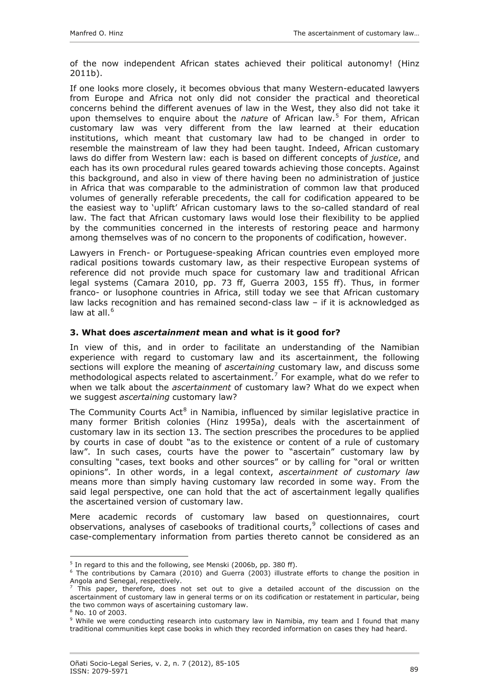<span id="page-4-0"></span>of the now independent African states achieved their political autonomy! (Hinz 2011b).

If one looks more closely, it becomes obvious that many Western-educated lawyers from Europe and Africa not only did not consider the practical and theoretical concerns behind the different avenues of law in the West, they also did not take it upon themselves to enquire about the *nature* of African law.[5](#page-4-1) For them, African customary law was very different from the law learned at their education institutions, which meant that customary law had to be changed in order to resemble the mainstream of law they had been taught. Indeed, African customary laws do differ from Western law: each is based on different concepts of *justice*, and each has its own procedural rules geared towards achieving those concepts. Against this background, and also in view of there having been no administration of justice in Africa that was comparable to the administration of common law that produced volumes of generally referable precedents, the call for codification appeared to be the easiest way to 'uplift' African customary laws to the so-called standard of real law. The fact that African customary laws would lose their flexibility to be applied by the communities concerned in the interests of restoring peace and harmony among themselves was of no concern to the proponents of codification, however.

Lawyers in French- or Portuguese-speaking African countries even employed more radical positions towards customary law, as their respective European systems of reference did not provide much space for customary law and traditional African legal systems (Camara 2010, pp. 73 ff, Guerra 2003, 155 ff). Thus, in former franco- or lusophone countries in Africa, still today we see that African customary law lacks recognition and has remained second-class law – if it is acknowledged as law at all.<sup>[6](#page-4-2)</sup>

## **3. What does** *ascertainment* **mean and what is it good for?**

In view of this, and in order to facilitate an understanding of the Namibian experience with regard to customary law and its ascertainment, the following sections will explore the meaning of *ascertaining* customary law, and discuss some methodological aspects related to ascertainment.<sup>[7](#page-4-3)</sup> For example, what do we refer to when we talk about the *ascertainment* of customary law? What do we expect when we suggest *ascertaining* customary law?

The Community Courts  $Act^8$  $Act^8$  in Namibia, influenced by similar legislative practice in many former British colonies (Hinz 1995a), deals with the ascertainment of customary law in its section 13. The section prescribes the procedures to be applied by courts in case of doubt "as to the existence or content of a rule of customary law". In such cases, courts have the power to "ascertain" customary law by consulting "cases, text books and other sources" or by calling for "oral or written opinions". In other words, in a legal context, *ascertainment of customary law* means more than simply having customary law recorded in some way. From the said legal perspective, one can hold that the act of ascertainment legally qualifies the ascertained version of customary law.

Mere academic records of customary law based on questionnaires, court observations, analyses of casebooks of traditional courts, $9$  collections of cases and case-complementary information from parties thereto cannot be considered as an

<sup>&</sup>lt;sup>5</sup> In regard to this and the following, see Menski (2006b, pp. 380 ff).

<span id="page-4-2"></span><span id="page-4-1"></span><sup>&</sup>lt;sup>6</sup> The contributions by Camara (2010) and Guerra (2003) illustrate efforts to change the position in Angola and Senegal, respectively.

<span id="page-4-3"></span> $^7$  This paper, therefore, does not set out to give a detailed account of the discussion on the ascertainment of customary law in general terms or on its codification or restatement in particular, being the two common ways of ascertaining customary law.

<sup>8</sup> No. 10 of 2003.

<span id="page-4-5"></span><span id="page-4-4"></span><sup>&</sup>lt;sup>9</sup> While we were conducting research into customary law in Namibia, my team and I found that many traditional communities kept case books in which they recorded information on cases they had heard.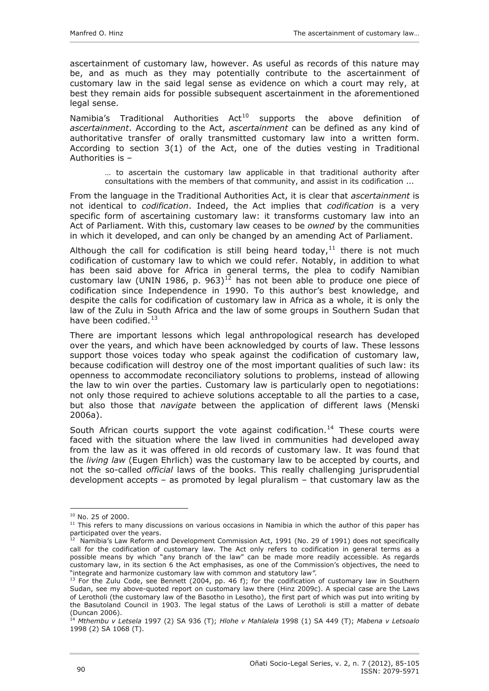ascertainment of customary law, however. As useful as records of this nature may be, and as much as they may potentially contribute to the ascertainment of customary law in the said legal sense as evidence on which a court may rely, at best they remain aids for possible subsequent ascertainment in the aforementioned legal sense.

Namibia's Traditional Authorities  $Act^{10}$  $Act^{10}$  $Act^{10}$  supports the above definition of *ascertainment*. According to the Act, *ascertainment* can be defined as any kind of authoritative transfer of orally transmitted customary law into a written form. According to section 3(1) of the Act, one of the duties vesting in Traditional Authorities is –

… to ascertain the customary law applicable in that traditional authority after consultations with the members of that community, and assist in its codification ...

From the language in the Traditional Authorities Act, it is clear that *ascertainment* is not identical to *codification*. Indeed, the Act implies that *codification* is a very specific form of ascertaining customary law: it transforms customary law into an Act of Parliament. With this, customary law ceases to be *owned* by the communities in which it developed, and can only be changed by an amending Act of Parliament.

Although the call for codification is still being heard today, $11$  there is not much codification of customary law to which we could refer. Notably, in addition to what has been said above for Africa in general terms, the plea to codify Namibian customary law (UNIN 1986, p. 963)<sup>[12](#page-5-2)</sup> has not been able to produce one piece of codification since Independence in 1990. To this author's best knowledge, and despite the calls for codification of customary law in Africa as a whole, it is only the law of the Zulu in South Africa and the law of some groups in Southern Sudan that have been codified. $^{13}$  $^{13}$  $^{13}$ 

There are important lessons which legal anthropological research has developed over the years, and which have been acknowledged by courts of law. These lessons support those voices today who speak against the codification of customary law, because codification will destroy one of the most important qualities of such law: its openness to accommodate reconciliatory solutions to problems, instead of allowing the law to win over the parties. Customary law is particularly open to negotiations: not only those required to achieve solutions acceptable to all the parties to a case, but also those that *navigate* between the application of different laws (Menski 2006a).

South African courts support the vote against codification.<sup>[14](#page-5-4)</sup> These courts were faced with the situation where the law lived in communities had developed away from the law as it was offered in old records of customary law. It was found that the *living law* (Eugen Ehrlich) was the customary law to be accepted by courts, and not the so-called *official* laws of the books. This really challenging jurisprudential development accepts – as promoted by legal pluralism – that customary law as the

<span id="page-5-1"></span><span id="page-5-0"></span> $10$  No. 25 of 2000.<br> $11$  This refers to many discussions on various occasions in Namibia in which the author of this paper has participated over the years.

<span id="page-5-2"></span> $12$  Namibia's Law Reform and Development Commission Act, 1991 (No. 29 of 1991) does not specifically call for the codification of customary law. The Act only refers to codification in general terms as a possible means by which "any branch of the law" can be made more readily accessible. As regards customary law, in its section 6 the Act emphasises, as one of the Commission's objectives, the need to "integrate and harmonize customary law with common and statutory law*".*

<span id="page-5-3"></span> $<sup>13</sup>$  For the Zulu Code, see Bennett (2004, pp. 46 f); for the codification of customary law in Southern</sup> Sudan, see my above-quoted report on customary law there (Hinz 2009c). A special case are the Laws of Lerotholi (the customary law of the Basotho in Lesotho), the first part of which was put into writing by the Basutoland Council in 1903. The legal status of the Laws of Lerotholi is still a matter of debate (Duncan 2006).

<span id="page-5-4"></span><sup>14</sup> *Mthembu v Letsela* 1997 (2) SA 936 (T); *Hlohe v Mahlalela* 1998 (1) SA 449 (T); *Mabena v Letsoalo* 1998 (2) SA 1068 (T).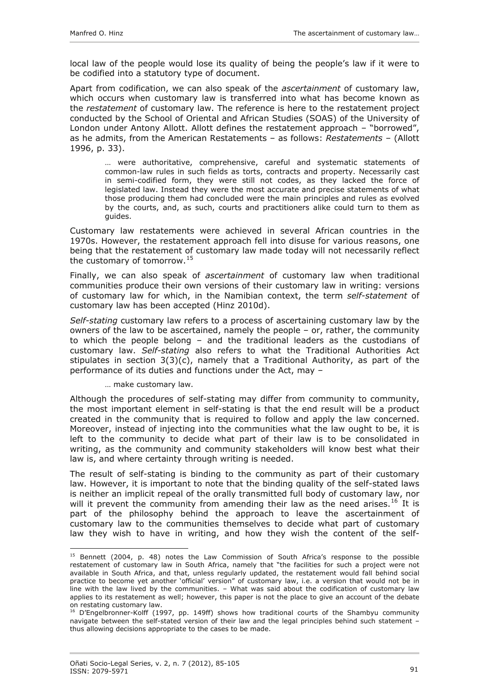local law of the people would lose its quality of being the people's law if it were to be codified into a statutory type of document.

Apart from codification, we can also speak of the *ascertainment* of customary law, which occurs when customary law is transferred into what has become known as the *restatement* of customary law. The reference is here to the restatement project conducted by the School of Oriental and African Studies (SOAS) of the University of London under Antony Allott. Allott defines the restatement approach – "borrowed", as he admits, from the American Restatements – as follows: *Restatements* – (Allott 1996, p. 33).

… were authoritative, comprehensive, careful and systematic statements of common-law rules in such fields as torts, contracts and property. Necessarily cast in semi-codified form, they were still not codes, as they lacked the force of legislated law. Instead they were the most accurate and precise statements of what those producing them had concluded were the main principles and rules as evolved by the courts, and, as such, courts and practitioners alike could turn to them as guides.

Customary law restatements were achieved in several African countries in the 1970s. However, the restatement approach fell into disuse for various reasons, one being that the restatement of customary law made today will not necessarily reflect the customary of tomorrow.[15](#page-6-0)

Finally, we can also speak of *ascertainment* of customary law when traditional communities produce their own versions of their customary law in writing: versions of customary law for which, in the Namibian context, the term *self-statement* of customary law has been accepted (Hinz 2010d).

*Self-stating* customary law refers to a process of ascertaining customary law by the owners of the law to be ascertained, namely the people – or, rather, the community to which the people belong – and the traditional leaders as the custodians of customary law. *Self-stating* also refers to what the Traditional Authorities Act stipulates in section  $3(3)(c)$ , namely that a Traditional Authority, as part of the performance of its duties and functions under the Act, may –

… make customary law.

Although the procedures of self-stating may differ from community to community, the most important element in self-stating is that the end result will be a product created in the community that is required to follow and apply the law concerned. Moreover, instead of injecting into the communities what the law ought to be, it is left to the community to decide what part of their law is to be consolidated in writing, as the community and community stakeholders will know best what their law is, and where certainty through writing is needed.

The result of self-stating is binding to the community as part of their customary law. However, it is important to note that the binding quality of the self-stated laws is neither an implicit repeal of the orally transmitted full body of customary law, nor will it prevent the community from amending their law as the need arises.<sup>[16](#page-6-1)</sup> It is part of the philosophy behind the approach to leave the ascertainment of customary law to the communities themselves to decide what part of customary law they wish to have in writing, and how they wish the content of the self-

<span id="page-6-0"></span><sup>&</sup>lt;sup>15</sup> Bennett (2004, p. 48) notes the Law Commission of South Africa's response to the possible restatement of customary law in South Africa, namely that "the facilities for such a project were not available in South Africa, and that, unless regularly updated, the restatement would fall behind social practice to become yet another 'official' version" of customary law, i.e. a version that would not be in line with the law lived by the communities. – What was said about the codification of customary law applies to its restatement as well; however, this paper is not the place to give an account of the debate on restating customary law.

<span id="page-6-1"></span> $<sup>16</sup>$  D'Engelbronner-Kolff (1997, pp. 149ff) shows how traditional courts of the Shambyu community</sup> navigate between the self-stated version of their law and the legal principles behind such statement – thus allowing decisions appropriate to the cases to be made.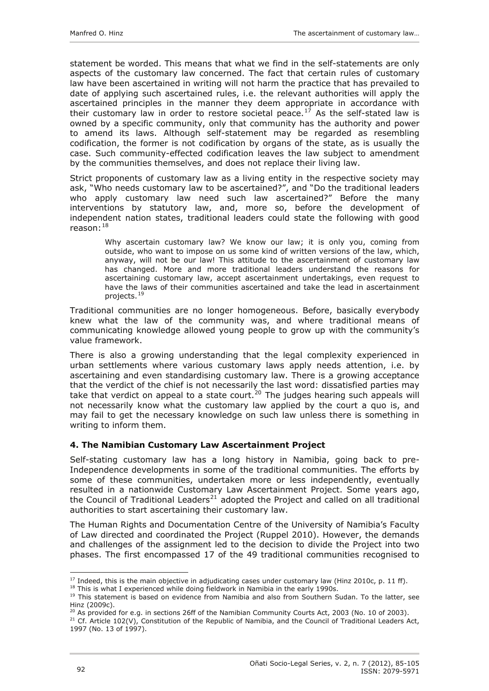<span id="page-7-0"></span>statement be worded. This means that what we find in the self-statements are only aspects of the customary law concerned. The fact that certain rules of customary law have been ascertained in writing will not harm the practice that has prevailed to date of applying such ascertained rules, i.e. the relevant authorities will apply the ascertained principles in the manner they deem appropriate in accordance with their customary law in order to restore societal peace.<sup>[17](#page-7-1)</sup> As the self-stated law is owned by a specific community, only that community has the authority and power to amend its laws. Although self-statement may be regarded as resembling codification, the former is not codification by organs of the state, as is usually the case. Such community-effected codification leaves the law subject to amendment by the communities themselves, and does not replace their living law.

Strict proponents of customary law as a living entity in the respective society may ask, "Who needs customary law to be ascertained?", and "Do the traditional leaders who apply customary law need such law ascertained?" Before the many interventions by statutory law, and, more so, before the development of independent nation states, traditional leaders could state the following with good  $r$ eason: $18$ 

Why ascertain customary law? We know our law; it is only you, coming from outside, who want to impose on us some kind of written versions of the law, which, anyway, will not be our law! This attitude to the ascertainment of customary law has changed. More and more traditional leaders understand the reasons for ascertaining customary law, accept ascertainment undertakings, even request to have the laws of their communities ascertained and take the lead in ascertainment projects.[19](#page-7-3)

Traditional communities are no longer homogeneous. Before, basically everybody knew what the law of the community was, and where traditional means of communicating knowledge allowed young people to grow up with the community's value framework.

There is also a growing understanding that the legal complexity experienced in urban settlements where various customary laws apply needs attention, i.e. by ascertaining and even standardising customary law. There is a growing acceptance that the verdict of the chief is not necessarily the last word: dissatisfied parties may take that verdict on appeal to a state court.<sup>[20](#page-7-4)</sup> The judges hearing such appeals will not necessarily know what the customary law applied by the court a quo is, and may fail to get the necessary knowledge on such law unless there is something in writing to inform them.

## **4. The Namibian Customary Law Ascertainment Project**

Self-stating customary law has a long history in Namibia, going back to pre-Independence developments in some of the traditional communities. The efforts by some of these communities, undertaken more or less independently, eventually resulted in a nationwide Customary Law Ascertainment Project. Some years ago, the Council of Traditional Leaders<sup>[21](#page-7-5)</sup> adopted the Project and called on all traditional authorities to start ascertaining their customary law.

The Human Rights and Documentation Centre of the University of Namibia's Faculty of Law directed and coordinated the Project (Ruppel 2010). However, the demands and challenges of the assignment led to the decision to divide the Project into two phases. The first encompassed 17 of the 49 traditional communities recognised to

 $\overline{a}$ <sup>17</sup> Indeed, this is the main objective in adjudicating cases under customary law (Hinz 2010c, p. 11 ff).<br><sup>18</sup> This is what I experienced while doing fieldwork in Namibia in the early 1990s.<br><sup>19</sup> This statement is based o

<span id="page-7-3"></span><span id="page-7-2"></span><span id="page-7-1"></span>Hinz (2009c).<br><sup>20</sup> As provided for e.g. in sections 26ff of the Namibian Community Courts Act, 2003 (No. 10 of 2003).

<span id="page-7-4"></span>

<span id="page-7-5"></span><sup>&</sup>lt;sup>21</sup> Cf. Article 102(V), Constitution of the Republic of Namibia, and the Council of Traditional Leaders Act, 1997 (No. 13 of 1997).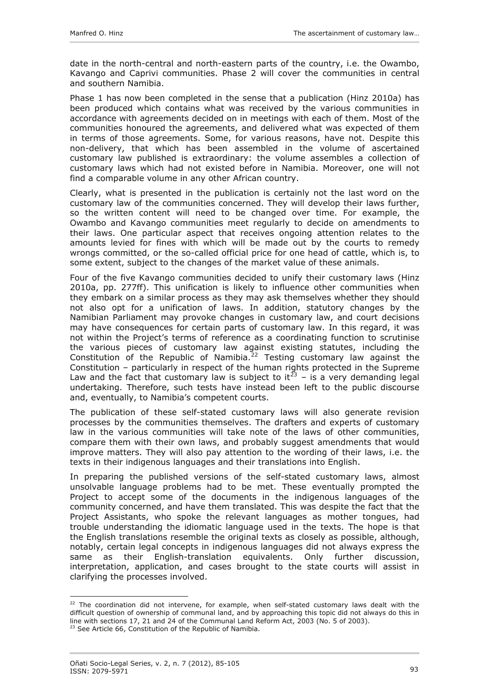date in the north-central and north-eastern parts of the country, i.e. the Owambo, Kavango and Caprivi communities. Phase 2 will cover the communities in central and southern Namibia.

Phase 1 has now been completed in the sense that a publication (Hinz 2010a) has been produced which contains what was received by the various communities in accordance with agreements decided on in meetings with each of them. Most of the communities honoured the agreements, and delivered what was expected of them in terms of those agreements. Some, for various reasons, have not. Despite this non-delivery, that which has been assembled in the volume of ascertained customary law published is extraordinary: the volume assembles a collection of customary laws which had not existed before in Namibia. Moreover, one will not find a comparable volume in any other African country.

Clearly, what is presented in the publication is certainly not the last word on the customary law of the communities concerned. They will develop their laws further, so the written content will need to be changed over time. For example, the Owambo and Kavango communities meet regularly to decide on amendments to their laws. One particular aspect that receives ongoing attention relates to the amounts levied for fines with which will be made out by the courts to remedy wrongs committed, or the so-called official price for one head of cattle, which is, to some extent, subject to the changes of the market value of these animals.

Four of the five Kavango communities decided to unify their customary laws (Hinz 2010a, pp. 277ff). This unification is likely to influence other communities when they embark on a similar process as they may ask themselves whether they should not also opt for a unification of laws. In addition, statutory changes by the Namibian Parliament may provoke changes in customary law, and court decisions may have consequences for certain parts of customary law. In this regard, it was not within the Project's terms of reference as a coordinating function to scrutinise the various pieces of customary law against existing statutes, including the Constitution of the Republic of Namibia.<sup>[22](#page-8-0)</sup> Testing customary law against the Constitution – particularly in respect of the human rights protected in the Supreme Law and the fact that customary law is subject to it<sup>[23](#page-8-1)</sup> – is a very demanding legal undertaking. Therefore, such tests have instead been left to the public discourse and, eventually, to Namibia's competent courts.

The publication of these self-stated customary laws will also generate revision processes by the communities themselves. The drafters and experts of customary law in the various communities will take note of the laws of other communities, compare them with their own laws, and probably suggest amendments that would improve matters. They will also pay attention to the wording of their laws, i.e. the texts in their indigenous languages and their translations into English.

In preparing the published versions of the self-stated customary laws, almost unsolvable language problems had to be met. These eventually prompted the Project to accept some of the documents in the indigenous languages of the community concerned, and have them translated. This was despite the fact that the Project Assistants, who spoke the relevant languages as mother tongues, had trouble understanding the idiomatic language used in the texts. The hope is that the English translations resemble the original texts as closely as possible, although, notably, certain legal concepts in indigenous languages did not always express the same as their English-translation equivalents. Only further discussion, interpretation, application, and cases brought to the state courts will assist in clarifying the processes involved.

<span id="page-8-0"></span> $22$  The coordination did not intervene, for example, when self-stated customary laws dealt with the difficult question of ownership of communal land, and by approaching this topic did not always do this in line with sections 17, 21 and 24 of the Communal Land Reform Act, 2003 (No. 5 of 2003).

<span id="page-8-1"></span><sup>&</sup>lt;sup>23</sup> See Article 66, Constitution of the Republic of Namibia.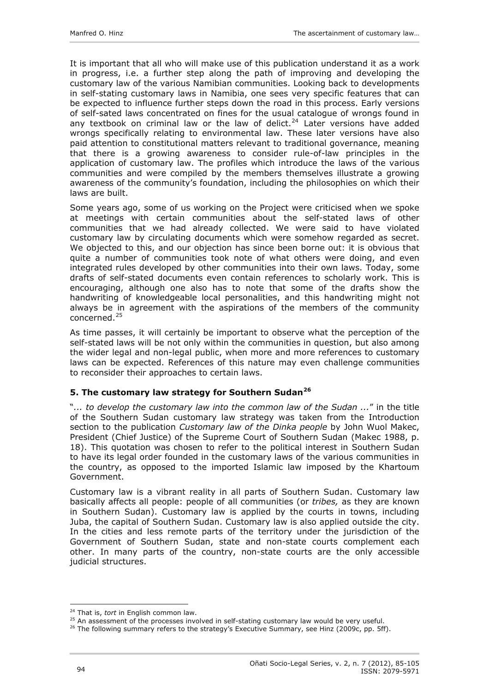<span id="page-9-0"></span>It is important that all who will make use of this publication understand it as a work in progress, i.e. a further step along the path of improving and developing the customary law of the various Namibian communities. Looking back to developments in self-stating customary laws in Namibia, one sees very specific features that can be expected to influence further steps down the road in this process. Early versions of self-sated laws concentrated on fines for the usual catalogue of wrongs found in any textbook on criminal law or the law of delict.<sup>[24](#page-9-1)</sup> Later versions have added wrongs specifically relating to environmental law. These later versions have also paid attention to constitutional matters relevant to traditional governance, meaning that there is a growing awareness to consider rule-of-law principles in the application of customary law. The profiles which introduce the laws of the various communities and were compiled by the members themselves illustrate a growing awareness of the community's foundation, including the philosophies on which their laws are built.

Some years ago, some of us working on the Project were criticised when we spoke at meetings with certain communities about the self-stated laws of other communities that we had already collected. We were said to have violated customary law by circulating documents which were somehow regarded as secret. We objected to this, and our objection has since been borne out: it is obvious that quite a number of communities took note of what others were doing, and even integrated rules developed by other communities into their own laws. Today, some drafts of self-stated documents even contain references to scholarly work. This is encouraging, although one also has to note that some of the drafts show the handwriting of knowledgeable local personalities, and this handwriting might not always be in agreement with the aspirations of the members of the community concerned.[25](#page-9-2)

As time passes, it will certainly be important to observe what the perception of the self-stated laws will be not only within the communities in question, but also among the wider legal and non-legal public, when more and more references to customary laws can be expected. References of this nature may even challenge communities to reconsider their approaches to certain laws.

## **5. The customary law strategy for Southern Sudan[26](#page-9-3)**

"*... to develop the customary law into the common law of the Sudan ...*" in the title of the Southern Sudan customary law strategy was taken from the Introduction section to the publication *Customary law of the Dinka people* by John Wuol Makec, President (Chief Justice) of the Supreme Court of Southern Sudan (Makec 1988, p. 18). This quotation was chosen to refer to the political interest in Southern Sudan to have its legal order founded in the customary laws of the various communities in the country, as opposed to the imported Islamic law imposed by the Khartoum Government.

Customary law is a vibrant reality in all parts of Southern Sudan. Customary law basically affects all people: people of all communities (or *tribes,* as they are known in Southern Sudan). Customary law is applied by the courts in towns, including Juba, the capital of Southern Sudan. Customary law is also applied outside the city. In the cities and less remote parts of the territory under the jurisdiction of the Government of Southern Sudan, state and non-state courts complement each other. In many parts of the country, non-state courts are the only accessible judicial structures.

 $\overline{a}$ 

<span id="page-9-2"></span><span id="page-9-1"></span><sup>&</sup>lt;sup>24</sup> That is, *tort* in English common law.<br><sup>25</sup> An assessment of the processes involved in self-stating customary law would be very useful.<br><sup>26</sup> The following summary refers to the strategy's Executive Summary, see Hinz

<span id="page-9-3"></span>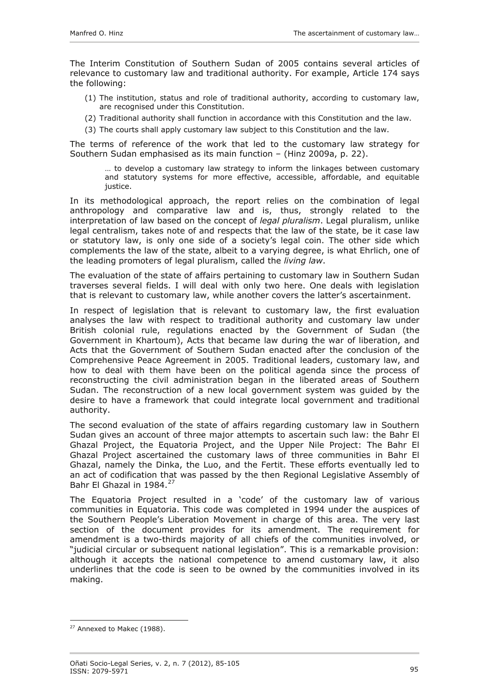The Interim Constitution of Southern Sudan of 2005 contains several articles of relevance to customary law and traditional authority. For example, Article 174 says the following:

- (1) The institution, status and role of traditional authority, according to customary law, are recognised under this Constitution.
- (2) Traditional authority shall function in accordance with this Constitution and the law.
- (3) The courts shall apply customary law subject to this Constitution and the law.

The terms of reference of the work that led to the customary law strategy for Southern Sudan emphasised as its main function – (Hinz 2009a, p. 22).

… to develop a customary law strategy to inform the linkages between customary and statutory systems for more effective, accessible, affordable, and equitable justice.

In its methodological approach, the report relies on the combination of legal anthropology and comparative law and is, thus, strongly related to the interpretation of law based on the concept of *legal pluralism*. Legal pluralism, unlike legal centralism, takes note of and respects that the law of the state, be it case law or statutory law, is only one side of a society's legal coin. The other side which complements the law of the state, albeit to a varying degree, is what Ehrlich, one of the leading promoters of legal pluralism, called the *living law*.

The evaluation of the state of affairs pertaining to customary law in Southern Sudan traverses several fields. I will deal with only two here. One deals with legislation that is relevant to customary law, while another covers the latter's ascertainment.

In respect of legislation that is relevant to customary law, the first evaluation analyses the law with respect to traditional authority and customary law under British colonial rule, regulations enacted by the Government of Sudan (the Government in Khartoum), Acts that became law during the war of liberation, and Acts that the Government of Southern Sudan enacted after the conclusion of the Comprehensive Peace Agreement in 2005. Traditional leaders, customary law, and how to deal with them have been on the political agenda since the process of reconstructing the civil administration began in the liberated areas of Southern Sudan. The reconstruction of a new local government system was guided by the desire to have a framework that could integrate local government and traditional authority.

The second evaluation of the state of affairs regarding customary law in Southern Sudan gives an account of three major attempts to ascertain such law: the Bahr El Ghazal Project, the Equatoria Project, and the Upper Nile Project: The Bahr El Ghazal Project ascertained the customary laws of three communities in Bahr El Ghazal, namely the Dinka, the Luo, and the Fertit. These efforts eventually led to an act of codification that was passed by the then Regional Legislative Assembly of Bahr El Ghazal in 1984.<sup>[27](#page-10-0)</sup>

The Equatoria Project resulted in a 'code' of the customary law of various communities in Equatoria. This code was completed in 1994 under the auspices of the Southern People's Liberation Movement in charge of this area. The very last section of the document provides for its amendment. The requirement for amendment is a two-thirds majority of all chiefs of the communities involved, or "judicial circular or subsequent national legislation". This is a remarkable provision: although it accepts the national competence to amend customary law, it also underlines that the code is seen to be owned by the communities involved in its making.

<span id="page-10-0"></span><sup>&</sup>lt;sup>27</sup> Annexed to Makec (1988).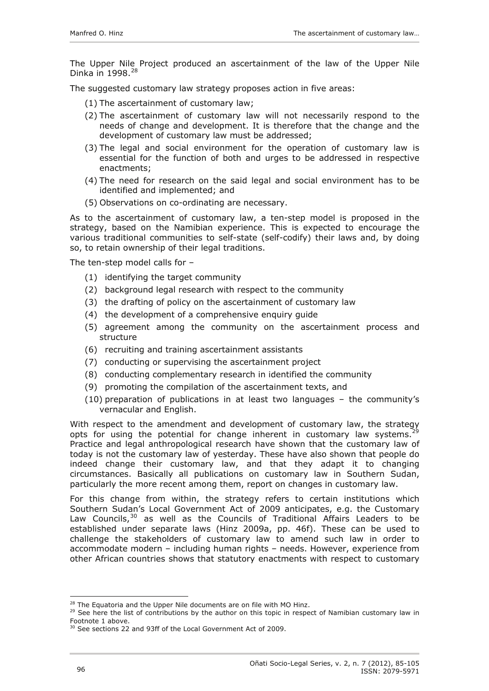The Upper Nile Project produced an ascertainment of the law of the Upper Nile Dinka in 1998.<sup>[28](#page-11-0)</sup>

The suggested customary law strategy proposes action in five areas:

- (1) The ascertainment of customary law;
- (2) The ascertainment of customary law will not necessarily respond to the needs of change and development. It is therefore that the change and the development of customary law must be addressed;
- (3) The legal and social environment for the operation of customary law is essential for the function of both and urges to be addressed in respective enactments;
- (4) The need for research on the said legal and social environment has to be identified and implemented; and
- (5) Observations on co-ordinating are necessary.

As to the ascertainment of customary law, a ten-step model is proposed in the strategy, based on the Namibian experience. This is expected to encourage the various traditional communities to self-state (self-codify) their laws and, by doing so, to retain ownership of their legal traditions.

The ten-step model calls for –

- (1) identifying the target community
- (2) background legal research with respect to the community
- (3) the drafting of policy on the ascertainment of customary law
- (4) the development of a comprehensive enquiry guide
- (5) agreement among the community on the ascertainment process and structure
- (6) recruiting and training ascertainment assistants
- (7) conducting or supervising the ascertainment project
- (8) conducting complementary research in identified the community
- (9) promoting the compilation of the ascertainment texts, and
- (10) preparation of publications in at least two languages the community's vernacular and English.

With respect to the amendment and development of customary law, the strategy opts for using the potential for change inherent in customary law systems.<sup>2</sup> Practice and legal anthropological research have shown that the customary law of today is not the customary law of yesterday. These have also shown that people do indeed change their customary law, and that they adapt it to changing circumstances. Basically all publications on customary law in Southern Sudan, particularly the more recent among them, report on changes in customary law.

For this change from within, the strategy refers to certain institutions which Southern Sudan's Local Government Act of 2009 anticipates, e.g. the Customary Law Councils,  $30$  as well as the Councils of Traditional Affairs Leaders to be established under separate laws (Hinz 2009a, pp. 46f). These can be used to challenge the stakeholders of customary law to amend such law in order to accommodate modern – including human rights – needs. However, experience from other African countries shows that statutory enactments with respect to customary

<span id="page-11-1"></span><span id="page-11-0"></span><sup>&</sup>lt;sup>28</sup> The Equatoria and the Upper Nile documents are on file with MO Hinz.<br><sup>29</sup> See here the list of contributions by the author on this topic in respect of Namibian customary law in Footnote 1 above.

<span id="page-11-2"></span><sup>&</sup>lt;sup>30</sup> See sections 22 and 93ff of the Local Government Act of 2009.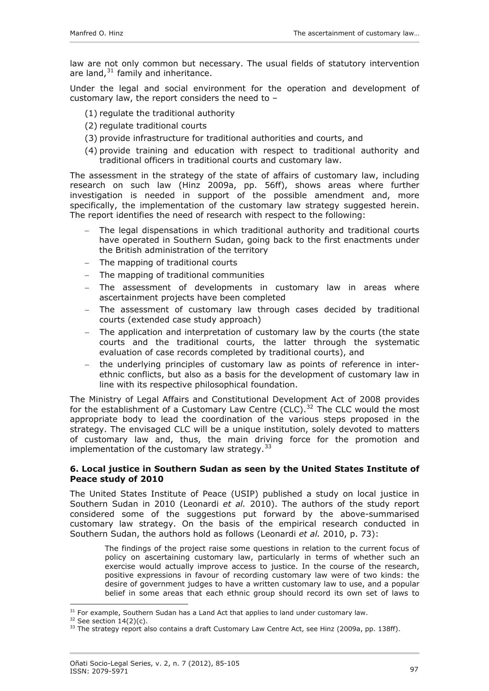<span id="page-12-0"></span>law are not only common but necessary. The usual fields of statutory intervention are land,  $31$  family and inheritance.

Under the legal and social environment for the operation and development of customary law, the report considers the need to –

- (1) regulate the traditional authority
- (2) regulate traditional courts
- (3) provide infrastructure for traditional authorities and courts, and
- (4) provide training and education with respect to traditional authority and traditional officers in traditional courts and customary law.

The assessment in the strategy of the state of affairs of customary law, including research on such law (Hinz 2009a, pp. 56ff), shows areas where further investigation is needed in support of the possible amendment and, more specifically, the implementation of the customary law strategy suggested herein. The report identifies the need of research with respect to the following:

- The legal dispensations in which traditional authority and traditional courts have operated in Southern Sudan, going back to the first enactments under the British administration of the territory
- − The mapping of traditional courts
- − The mapping of traditional communities
- − The assessment of developments in customary law in areas where ascertainment projects have been completed
- The assessment of customary law through cases decided by traditional courts (extended case study approach)
- The application and interpretation of customary law by the courts (the state courts and the traditional courts, the latter through the systematic evaluation of case records completed by traditional courts), and
- − the underlying principles of customary law as points of reference in interethnic conflicts, but also as a basis for the development of customary law in line with its respective philosophical foundation.

The Ministry of Legal Affairs and Constitutional Development Act of 2008 provides for the establishment of a Customary Law Centre  $(CLC)$ ,  $^{32}$  $^{32}$  $^{32}$  The CLC would the most appropriate body to lead the coordination of the various steps proposed in the strategy. The envisaged CLC will be a unique institution, solely devoted to matters of customary law and, thus, the main driving force for the promotion and implementation of the customary law strategy.  $33$ 

## **6. Local justice in Southern Sudan as seen by the United States Institute of Peace study of 2010**

The United States Institute of Peace (USIP) published a study on local justice in Southern Sudan in 2010 (Leonardi *et al.* 2010). The authors of the study report considered some of the suggestions put forward by the above-summarised customary law strategy. On the basis of the empirical research conducted in Southern Sudan, the authors hold as follows (Leonardi *et al.* 2010, p. 73):

The findings of the project raise some questions in relation to the current focus of policy on ascertaining customary law, particularly in terms of whether such an exercise would actually improve access to justice. In the course of the research, positive expressions in favour of recording customary law were of two kinds: the desire of government judges to have a written customary law to use, and a popular belief in some areas that each ethnic group should record its own set of laws to

 $\overline{a}$ 

<span id="page-12-3"></span><span id="page-12-2"></span>

<span id="page-12-1"></span><sup>&</sup>lt;sup>31</sup> For example, Southern Sudan has a Land Act that applies to land under customary law.<br><sup>32</sup> See section 14(2)(c).<br><sup>33</sup> The strategy report also contains a draft Customary Law Centre Act, see Hinz (2009a, pp. 138ff).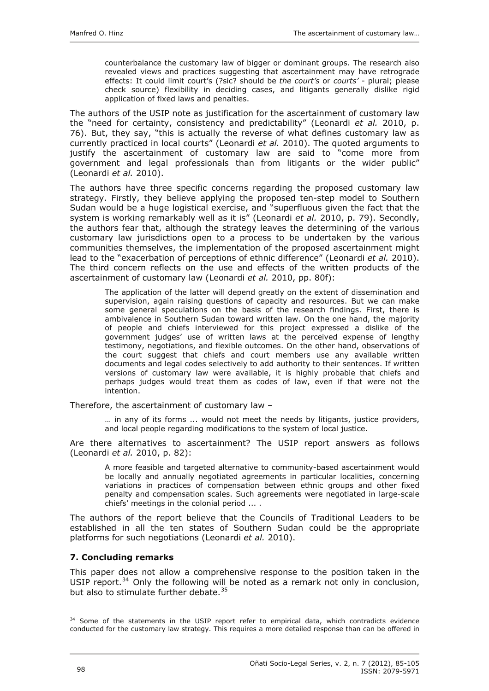<span id="page-13-0"></span>counterbalance the customary law of bigger or dominant groups. The research also revealed views and practices suggesting that ascertainment may have retrograde effects: It could limit court's (?sic? should be *the court's* or *courts'* - plural; please check source) flexibility in deciding cases, and litigants generally dislike rigid application of fixed laws and penalties.

The authors of the USIP note as justification for the ascertainment of customary law the "need for certainty, consistency and predictability" (Leonardi *et al.* 2010, p. 76). But, they say, "this is actually the reverse of what defines customary law as currently practiced in local courts" (Leonardi *et al.* 2010). The quoted arguments to justify the ascertainment of customary law are said to "come more from government and legal professionals than from litigants or the wider public" (Leonardi *et al.* 2010).

The authors have three specific concerns regarding the proposed customary law strategy. Firstly, they believe applying the proposed ten-step model to Southern Sudan would be a huge logistical exercise, and "superfluous given the fact that the system is working remarkably well as it is" (Leonardi *et al.* 2010, p. 79). Secondly, the authors fear that, although the strategy leaves the determining of the various customary law jurisdictions open to a process to be undertaken by the various communities themselves, the implementation of the proposed ascertainment might lead to the "exacerbation of perceptions of ethnic difference" (Leonardi *et al.* 2010). The third concern reflects on the use and effects of the written products of the ascertainment of customary law (Leonardi *et al.* 2010, pp. 80f):

The application of the latter will depend greatly on the extent of dissemination and supervision, again raising questions of capacity and resources. But we can make some general speculations on the basis of the research findings. First, there is ambivalence in Southern Sudan toward written law. On the one hand, the majority of people and chiefs interviewed for this project expressed a dislike of the government judges' use of written laws at the perceived expense of lengthy testimony, negotiations, and flexible outcomes. On the other hand, observations of the court suggest that chiefs and court members use any available written documents and legal codes selectively to add authority to their sentences. If written versions of customary law were available, it is highly probable that chiefs and perhaps judges would treat them as codes of law, even if that were not the intention.

Therefore, the ascertainment of customary law –

 $\ldots$  in any of its forms  $\ldots$  would not meet the needs by litigants, justice providers, and local people regarding modifications to the system of local justice.

Are there alternatives to ascertainment? The USIP report answers as follows (Leonardi *et al.* 2010, p. 82):

A more feasible and targeted alternative to community-based ascertainment would be locally and annually negotiated agreements in particular localities, concerning variations in practices of compensation between ethnic groups and other fixed penalty and compensation scales. Such agreements were negotiated in large-scale chiefs' meetings in the colonial period ... .

The authors of the report believe that the Councils of Traditional Leaders to be established in all the ten states of Southern Sudan could be the appropriate platforms for such negotiations (Leonardi *et al.* 2010).

#### **7. Concluding remarks**

This paper does not allow a comprehensive response to the position taken in the USIP report.<sup>[34](#page-13-1)</sup> Only the following will be noted as a remark not only in conclusion, but also to stimulate further debate.[35](#page-13-2)

<span id="page-13-2"></span><span id="page-13-1"></span> $\overline{a}$ <sup>34</sup> Some of the statements in the USIP report refer to empirical data, which contradicts evidence conducted for the customary law strategy. This requires a more detailed response than can be offered in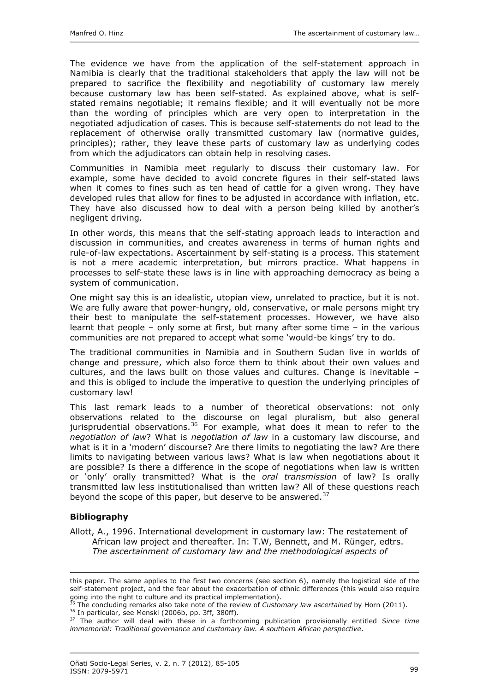<span id="page-14-0"></span>The evidence we have from the application of the self-statement approach in Namibia is clearly that the traditional stakeholders that apply the law will not be prepared to sacrifice the flexibility and negotiability of customary law merely because customary law has been self-stated. As explained above, what is selfstated remains negotiable; it remains flexible; and it will eventually not be more than the wording of principles which are very open to interpretation in the negotiated adjudication of cases. This is because self-statements do not lead to the replacement of otherwise orally transmitted customary law (normative guides, principles); rather, they leave these parts of customary law as underlying codes from which the adjudicators can obtain help in resolving cases.

Communities in Namibia meet regularly to discuss their customary law. For example, some have decided to avoid concrete figures in their self-stated laws when it comes to fines such as ten head of cattle for a given wrong. They have developed rules that allow for fines to be adjusted in accordance with inflation, etc. They have also discussed how to deal with a person being killed by another's negligent driving.

In other words, this means that the self-stating approach leads to interaction and discussion in communities, and creates awareness in terms of human rights and rule-of-law expectations. Ascertainment by self-stating is a process. This statement is not a mere academic interpretation, but mirrors practice. What happens in processes to self-state these laws is in line with approaching democracy as being a system of communication.

One might say this is an idealistic, utopian view, unrelated to practice, but it is not. We are fully aware that power-hungry, old, conservative, or male persons might try their best to manipulate the self-statement processes. However, we have also learnt that people – only some at first, but many after some time – in the various communities are not prepared to accept what some 'would-be kings' try to do.

The traditional communities in Namibia and in Southern Sudan live in worlds of change and pressure, which also force them to think about their own values and cultures, and the laws built on those values and cultures. Change is inevitable – and this is obliged to include the imperative to question the underlying principles of customary law!

This last remark leads to a number of theoretical observations: not only observations related to the discourse on legal pluralism, but also general jurisprudential observations.<sup>[36](#page-14-1)</sup> For example, what does it mean to refer to the *negotiation of law*? What is *negotiation of law* in a customary law discourse, and what is it in a 'modern' discourse? Are there limits to negotiating the law? Are there limits to navigating between various laws? What is law when negotiations about it are possible? Is there a difference in the scope of negotiations when law is written or 'only' orally transmitted? What is the *oral transmission* of law? Is orally transmitted law less institutionalised than written law? All of these questions reach beyond the scope of this paper, but deserve to be answered. $37$ 

## **Bibliography**

1

Allott, A., 1996. International development in customary law: The restatement of African law project and thereafter. In: T.W, Bennett, and M. Rünger, edtrs. *The ascertainment of customary law and the methodological aspects of* 

<span id="page-14-1"></span>

this paper. The same applies to the first two concerns (see section 6), namely the logistical side of the self-statement project, and the fear about the exacerbation of ethnic differences (this would also require going into the right to culture and its practical implementation).

<sup>&</sup>lt;sup>35</sup> The concluding remarks also take note of the review of *Customary law ascertained* by Horn (2011).<br><sup>36</sup> In particular, see Menski (2006b, pp. 3ff, 380ff).<br><sup>37</sup> The author will deal with these in a forthcoming publica

<span id="page-14-2"></span>*immemorial: Traditional governance and customary law. A southern African perspective*.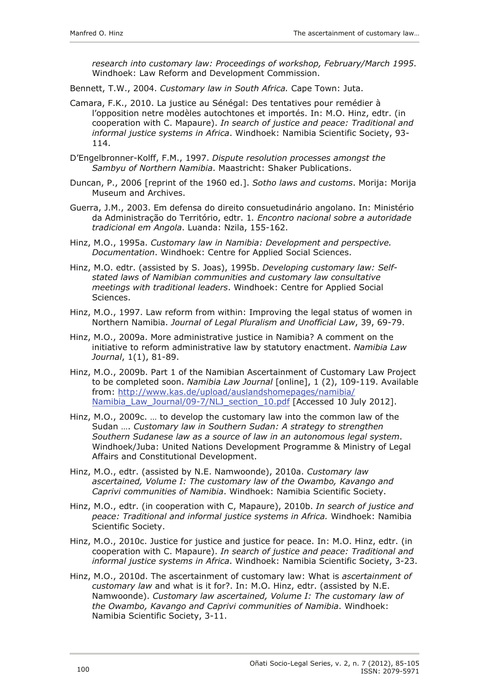*research into customary law: Proceedings of workshop, February/March 1995*. Windhoek: Law Reform and Development Commission.

Bennett, T.W., 2004. *Customary law in South Africa.* Cape Town: Juta.

- Camara, F.K., 2010. La justice au Sénégal: Des tentatives pour remédier à l'opposition netre modèles autochtones et importés. In: M.O. Hinz, edtr. (in cooperation with C. Mapaure). *In search of justice and peace: Traditional and informal justice systems in Africa*. Windhoek: Namibia Scientific Society, 93- 114.
- D'Engelbronner-Kolff, F.M., 1997. *Dispute resolution processes amongst the Sambyu of Northern Namibia*. Maastricht: Shaker Publications.
- Duncan, P., 2006 [reprint of the 1960 ed.]. *Sotho laws and customs*. Morija: Morija Museum and Archives.
- Guerra, J.M., 2003. Em defensa do direito consuetudinário angolano. In: Ministério da Administração do Território, edtr. 1*. Encontro nacional sobre a autoridade tradicional em Angola*. Luanda: Nzila, 155-162.
- Hinz, M.O., 1995a. *Customary law in Namibia: Development and perspective. Documentation*. Windhoek: Centre for Applied Social Sciences.
- Hinz, M.O. edtr. (assisted by S. Joas), 1995b. *Developing customary law: Selfstated laws of Namibian communities and customary law consultative meetings with traditional leaders*. Windhoek: Centre for Applied Social Sciences.
- Hinz, M.O., 1997. Law reform from within: Improving the legal status of women in Northern Namibia. *Journal of Legal Pluralism and Unofficial Law*, 39, 69-79.
- Hinz, M.O., 2009a. More administrative justice in Namibia? A comment on the initiative to reform administrative law by statutory enactment. *Namibia Law Journal*, 1(1), 81-89.
- Hinz, M.O., 2009b. Part 1 of the Namibian Ascertainment of Customary Law Project to be completed soon. *Namibia Law Journal* [online], 1 (2), 109-119. Available from: [http://www.kas.de/upload/auslandshomepages/namibia/](http://www.kas.de/upload/auslandshomepages/namibia/%0BNamibia_Law_Journal/09-7/NLJ_section_10.pdf) [Namibia\\_Law\\_Journal/09-7/NLJ\\_section\\_10.pdf](http://www.kas.de/upload/auslandshomepages/namibia/%0BNamibia_Law_Journal/09-7/NLJ_section_10.pdf) [Accessed 10 July 2012].
- Hinz, M.O., 2009c. … to develop the customary law into the common law of the Sudan …. *Customary law in Southern Sudan: A strategy to strengthen Southern Sudanese law as a source of law in an autonomous legal system*. Windhoek/Juba: United Nations Development Programme & Ministry of Legal Affairs and Constitutional Development.
- Hinz, M.O., edtr. (assisted by N.E. Namwoonde), 2010a. *Customary law ascertained, Volume I: The customary law of the Owambo, Kavango and Caprivi communities of Namibia*. Windhoek: Namibia Scientific Society.
- Hinz, M.O., edtr. (in cooperation with C, Mapaure), 2010b. *In search of justice and peace: Traditional and informal justice systems in Africa.* Windhoek: Namibia Scientific Society.
- Hinz, M.O., 2010c. Justice for justice and justice for peace. In: M.O. Hinz, edtr. (in cooperation with C. Mapaure). *In search of justice and peace: Traditional and informal justice systems in Africa*. Windhoek: Namibia Scientific Society, 3-23.
- Hinz, M.O., 2010d. The ascertainment of customary law: What is *ascertainment of customary law* and what is it for?. In: M.O. Hinz, edtr. (assisted by N.E. Namwoonde). *Customary law ascertained, Volume I: The customary law of the Owambo, Kavango and Caprivi communities of Namibia*. Windhoek: Namibia Scientific Society, 3-11.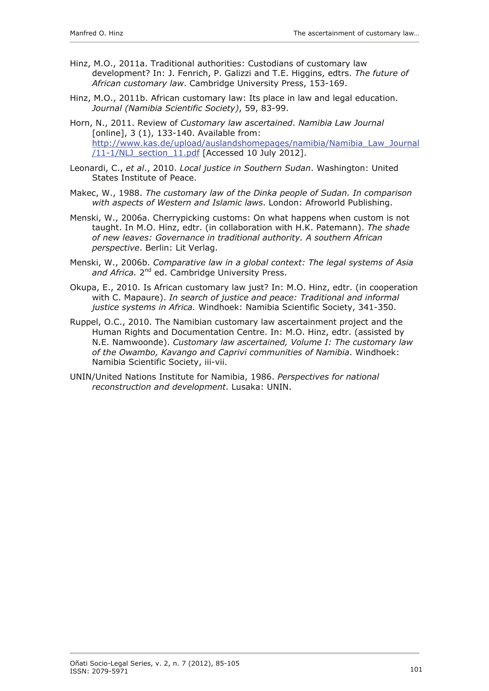- Hinz, M.O., 2011a. Traditional authorities: Custodians of customary law development? In: J. Fenrich, P. Galizzi and T.E. Higgins, edtrs. *The future of African customary law*. Cambridge University Press, 153-169.
- Hinz, M.O., 2011b. African customary law: Its place in law and legal education. *Journal (Namibia Scientific Society)*, 59, 83-99.
- Horn, N., 2011. Review of *Customary law ascertained*. *Namibia Law Journal* [online], 3 (1), 133-140. Available from: [http://www.kas.de/upload/auslandshomepages/namibia/Namibia\\_Law\\_Journal](http://www.kas.de/upload/auslandshomepages/namibia/Namibia_Law_Journal/11-1/NLJ_section_11.pdf) [/11-1/NLJ\\_section\\_11.pdf](http://www.kas.de/upload/auslandshomepages/namibia/Namibia_Law_Journal/11-1/NLJ_section_11.pdf) [Accessed 10 July 2012].
- Leonardi, C., *et al*., 2010. *Local justice in Southern Sudan*. Washington: United States Institute of Peace.
- Makec, W., 1988. *The customary law of the Dinka people of Sudan. In comparison with aspects of Western and Islamic laws*. London: Afroworld Publishing.
- Menski, W., 2006a. Cherrypicking customs: On what happens when custom is not taught. In M.O. Hinz, edtr. (in collaboration with H.K. Patemann). *The shade of new leaves: Governance in traditional authority. A southern African perspective*. Berlin: Lit Verlag.
- Menski, W., 2006b. *Comparative law in a global context: The legal systems of Asia*  and Africa. 2<sup>nd</sup> ed. Cambridge University Press.
- Okupa, E., 2010. Is African customary law just? In: M.O. Hinz, edtr. (in cooperation with C. Mapaure). *In search of justice and peace: Traditional and informal justice systems in Africa.* Windhoek: Namibia Scientific Society, 341-350.
- Ruppel, O.C., 2010. The Namibian customary law ascertainment project and the Human Rights and Documentation Centre. In: M.O. Hinz, edtr. (assisted by N.E. Namwoonde). *Customary law ascertained, Volume I: The customary law of the Owambo, Kavango and Caprivi communities of Namibia*. Windhoek: Namibia Scientific Society, iii-vii.
- UNIN/United Nations Institute for Namibia, 1986. *Perspectives for national reconstruction and development*. Lusaka: UNIN.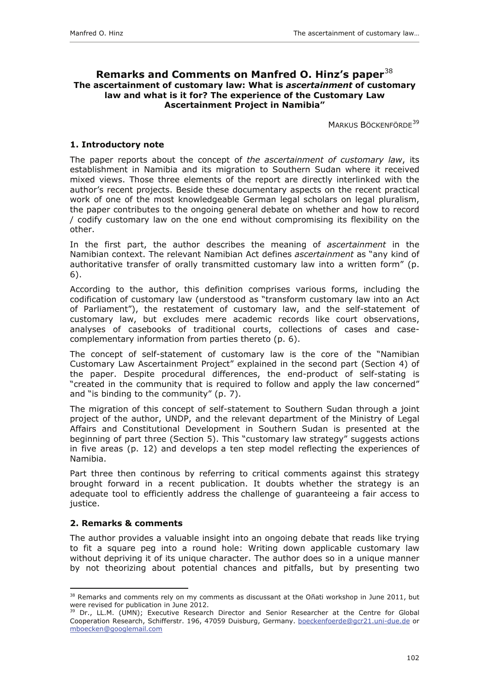## <span id="page-17-0"></span>**Remarks and Comments on Manfred O. Hinz's paper**[38](#page-17-1) **The ascertainment of customary law: What is** *ascertainment* **of customary law and what is it for? The experience of the Customary Law Ascertainment Project in Namibia"**

MARKUS BÖCKENFÖRDE<sup>[39](#page-17-2)</sup>

#### **1. Introductory note**

The paper reports about the concept of *the ascertainment of customary law*, its establishment in Namibia and its migration to Southern Sudan where it received mixed views. Those three elements of the report are directly interlinked with the author's recent projects. Beside these documentary aspects on the recent practical work of one of the most knowledgeable German legal scholars on legal pluralism, the paper contributes to the ongoing general debate on whether and how to record / codify customary law on the one end without compromising its flexibility on the other.

In the first part, the author describes the meaning of *ascertainment* in the Namibian context. The relevant Namibian Act defines *ascertainment* as "any kind of authoritative transfer of orally transmitted customary law into a written form" (p. 6).

According to the author, this definition comprises various forms, including the codification of customary law (understood as "transform customary law into an Act of Parliament"), the restatement of customary law, and the self-statement of customary law, but excludes mere academic records like court observations, analyses of casebooks of traditional courts, collections of cases and casecomplementary information from parties thereto (p. 6).

The concept of self-statement of customary law is the core of the "Namibian Customary Law Ascertainment Project" explained in the second part (Section 4) of the paper. Despite procedural differences, the end-product of self-stating is "created in the community that is required to follow and apply the law concerned" and "is binding to the community" (p. 7).

The migration of this concept of self-statement to Southern Sudan through a joint project of the author, UNDP, and the relevant department of the Ministry of Legal Affairs and Constitutional Development in Southern Sudan is presented at the beginning of part three (Section 5). This "customary law strategy" suggests actions in five areas (p. 12) and develops a ten step model reflecting the experiences of Namibia.

Part three then continous by referring to critical comments against this strategy brought forward in a recent publication. It doubts whether the strategy is an adequate tool to efficiently address the challenge of guaranteeing a fair access to justice.

#### **2. Remarks & comments**

 $\overline{a}$ 

The author provides a valuable insight into an ongoing debate that reads like trying to fit a square peg into a round hole: Writing down applicable customary law without depriving it of its unique character. The author does so in a unique manner by not theorizing about potential chances and pitfalls, but by presenting two

<span id="page-17-1"></span><sup>&</sup>lt;sup>38</sup> Remarks and comments rely on my comments as discussant at the Oñati workshop in June 2011, but were revised for publication in June 2012.

<span id="page-17-2"></span><sup>&</sup>lt;sup>39</sup> Dr., LL.M. (UMN); Executive Research Director and Senior Researcher at the Centre for Global Cooperation Research, Schifferstr. 196, 47059 Duisburg, Germany. [boeckenfoerde@gcr21.uni-due.de](mailto:boeckenfoerde@gcr21.uni-due.de) or [mboecken@googlemail.com](mailto:mboecken@googlemail.com)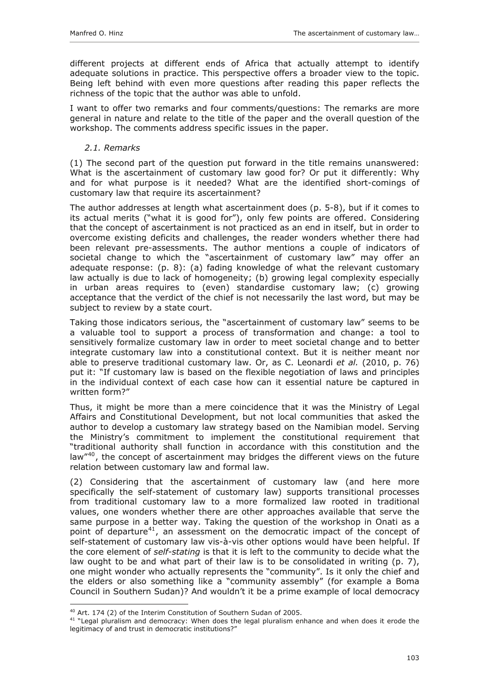<span id="page-18-0"></span>different projects at different ends of Africa that actually attempt to identify adequate solutions in practice. This perspective offers a broader view to the topic. Being left behind with even more questions after reading this paper reflects the richness of the topic that the author was able to unfold.

I want to offer two remarks and four comments/questions: The remarks are more general in nature and relate to the title of the paper and the overall question of the workshop. The comments address specific issues in the paper.

## *2.1. Remarks*

(1) The second part of the question put forward in the title remains unanswered: What is the ascertainment of customary law good for? Or put it differently: Why and for what purpose is it needed? What are the identified short-comings of customary law that require its ascertainment?

The author addresses at length what ascertainment does (p. 5-8), but if it comes to its actual merits ("what it is good for"), only few points are offered. Considering that the concept of ascertainment is not practiced as an end in itself, but in order to overcome existing deficits and challenges, the reader wonders whether there had been relevant pre-assessments. The author mentions a couple of indicators of societal change to which the "ascertainment of customary law" may offer an adequate response: (p. 8): (a) fading knowledge of what the relevant customary law actually is due to lack of homogeneity; (b) growing legal complexity especially in urban areas requires to (even) standardise customary law; (c) growing acceptance that the verdict of the chief is not necessarily the last word, but may be subject to review by a state court.

Taking those indicators serious, the "ascertainment of customary law" seems to be a valuable tool to support a process of transformation and change: a tool to sensitively formalize customary law in order to meet societal change and to better integrate customary law into a constitutional context. But it is neither meant nor able to preserve traditional customary law. Or, as C. Leonardi *et al.* (2010, p. 76) put it: "If customary law is based on the flexible negotiation of laws and principles in the individual context of each case how can it essential nature be captured in written form?"

Thus, it might be more than a mere coincidence that it was the Ministry of Legal Affairs and Constitutional Development, but not local communities that asked the author to develop a customary law strategy based on the Namibian model. Serving the Ministry's commitment to implement the constitutional requirement that "traditional authority shall function in accordance with this constitution and the law<sup>"[40](#page-18-1)</sup>, the concept of ascertainment may bridges the different views on the future relation between customary law and formal law.

(2) Considering that the ascertainment of customary law (and here more specifically the self-statement of customary law) supports transitional processes from traditional customary law to a more formalized law rooted in traditional values, one wonders whether there are other approaches available that serve the same purpose in a better way. Taking the question of the workshop in Onati as a point of departure<sup>[41](#page-18-2)</sup>, an assessment on the democratic impact of the concept of self-statement of customary law vis-à-vis other options would have been helpful. If the core element of *self-stating* is that it is left to the community to decide what the law ought to be and what part of their law is to be consolidated in writing (p. 7), one might wonder who actually represents the "community". Is it only the chief and the elders or also something like a "community assembly" (for example a Boma Council in Southern Sudan)? And wouldn't it be a prime example of local democracy

<sup>&</sup>lt;sup>40</sup> Art. 174 (2) of the Interim Constitution of Southern Sudan of 2005.

<span id="page-18-2"></span><span id="page-18-1"></span><sup>&</sup>lt;sup>41</sup> "Legal pluralism and democracy: When does the legal pluralism enhance and when does it erode the legitimacy of and trust in democratic institutions?"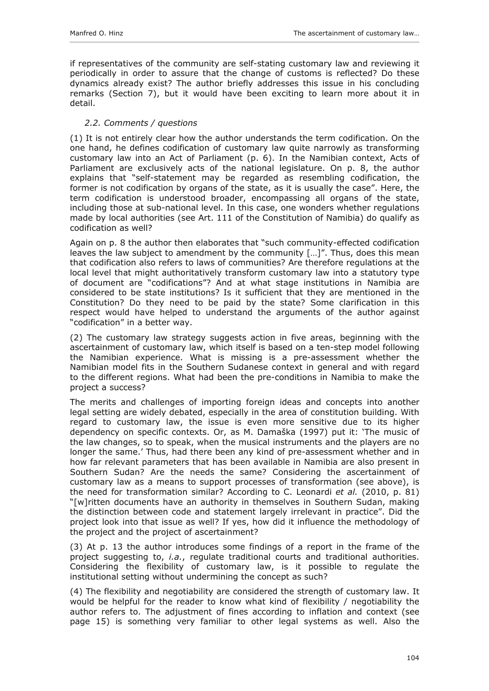<span id="page-19-0"></span>if representatives of the community are self-stating customary law and reviewing it periodically in order to assure that the change of customs is reflected? Do these dynamics already exist? The author briefly addresses this issue in his concluding remarks (Section 7), but it would have been exciting to learn more about it in detail.

## *2.2. Comments / questions*

(1) It is not entirely clear how the author understands the term codification. On the one hand, he defines codification of customary law quite narrowly as transforming customary law into an Act of Parliament (p. 6). In the Namibian context, Acts of Parliament are exclusively acts of the national legislature. On p. 8, the author explains that "self-statement may be regarded as resembling codification, the former is not codification by organs of the state, as it is usually the case". Here, the term codification is understood broader, encompassing all organs of the state, including those at sub-national level. In this case, one wonders whether regulations made by local authorities (see Art. 111 of the Constitution of Namibia) do qualify as codification as well?

Again on p. 8 the author then elaborates that "such community-effected codification leaves the law subject to amendment by the community […]". Thus, does this mean that codification also refers to laws of communities? Are therefore regulations at the local level that might authoritatively transform customary law into a statutory type of document are "codifications"? And at what stage institutions in Namibia are considered to be state institutions? Is it sufficient that they are mentioned in the Constitution? Do they need to be paid by the state? Some clarification in this respect would have helped to understand the arguments of the author against "codification" in a better way.

(2) The customary law strategy suggests action in five areas, beginning with the ascertainment of customary law, which itself is based on a ten-step model following the Namibian experience. What is missing is a pre-assessment whether the Namibian model fits in the Southern Sudanese context in general and with regard to the different regions. What had been the pre-conditions in Namibia to make the project a success?

The merits and challenges of importing foreign ideas and concepts into another legal setting are widely debated, especially in the area of constitution building. With regard to customary law, the issue is even more sensitive due to its higher dependency on specific contexts. Or, as M. Damaška (1997) put it: 'The music of the law changes, so to speak, when the musical instruments and the players are no longer the same.' Thus, had there been any kind of pre-assessment whether and in how far relevant parameters that has been available in Namibia are also present in Southern Sudan? Are the needs the same? Considering the ascertainment of customary law as a means to support processes of transformation (see above), is the need for transformation similar? According to C. Leonardi *et al.* (2010, p. 81) "[w]ritten documents have an authority in themselves in Southern Sudan, making the distinction between code and statement largely irrelevant in practice". Did the project look into that issue as well? If yes, how did it influence the methodology of the project and the project of ascertainment?

(3) At p. 13 the author introduces some findings of a report in the frame of the project suggesting to, *i.a.*, regulate traditional courts and traditional authorities. Considering the flexibility of customary law, is it possible to regulate the institutional setting without undermining the concept as such?

(4) The flexibility and negotiability are considered the strength of customary law. It would be helpful for the reader to know what kind of flexibility / negotiability the author refers to. The adjustment of fines according to inflation and context (see page 15) is something very familiar to other legal systems as well. Also the